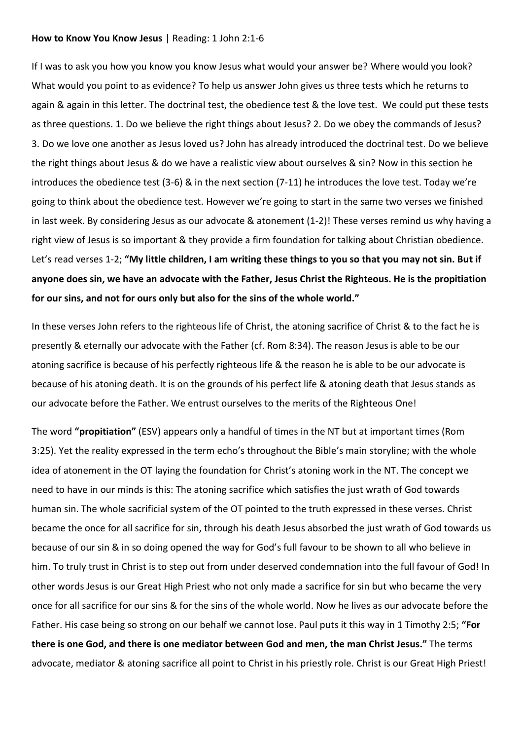#### **How to Know You Know Jesus** | Reading: 1 John 2:1-6

If I was to ask you how you know you know Jesus what would your answer be? Where would you look? What would you point to as evidence? To help us answer John gives us three tests which he returns to again & again in this letter. The doctrinal test, the obedience test & the love test. We could put these tests as three questions. 1. Do we believe the right things about Jesus? 2. Do we obey the commands of Jesus? 3. Do we love one another as Jesus loved us? John has already introduced the doctrinal test. Do we believe the right things about Jesus & do we have a realistic view about ourselves & sin? Now in this section he introduces the obedience test (3-6) & in the next section (7-11) he introduces the love test. Today we're going to think about the obedience test. However we're going to start in the same two verses we finished in last week. By considering Jesus as our advocate & atonement (1-2)! These verses remind us why having a right view of Jesus is so important & they provide a firm foundation for talking about Christian obedience. Let's read verses 1-2; **"My little children, I am writing these things to you so that you may not sin. But if anyone does sin, we have an advocate with the Father, Jesus Christ the Righteous. He is the propitiation for our sins, and not for ours only but also for the sins of the whole world."**

In these verses John refers to the righteous life of Christ, the atoning sacrifice of Christ & to the fact he is presently & eternally our advocate with the Father (cf. Rom 8:34). The reason Jesus is able to be our atoning sacrifice is because of his perfectly righteous life & the reason he is able to be our advocate is because of his atoning death. It is on the grounds of his perfect life & atoning death that Jesus stands as our advocate before the Father. We entrust ourselves to the merits of the Righteous One!

The word **"propitiation"** (ESV) appears only a handful of times in the NT but at important times (Rom 3:25). Yet the reality expressed in the term echo's throughout the Bible's main storyline; with the whole idea of atonement in the OT laying the foundation for Christ's atoning work in the NT. The concept we need to have in our minds is this: The atoning sacrifice which satisfies the just wrath of God towards human sin. The whole sacrificial system of the OT pointed to the truth expressed in these verses. Christ became the once for all sacrifice for sin, through his death Jesus absorbed the just wrath of God towards us because of our sin & in so doing opened the way for God's full favour to be shown to all who believe in him. To truly trust in Christ is to step out from under deserved condemnation into the full favour of God! In other words Jesus is our Great High Priest who not only made a sacrifice for sin but who became the very once for all sacrifice for our sins & for the sins of the whole world. Now he lives as our advocate before the Father. His case being so strong on our behalf we cannot lose. Paul puts it this way in 1 Timothy 2:5; **"For there is one God, and there is one mediator between God and men, the man Christ Jesus."** The terms advocate, mediator & atoning sacrifice all point to Christ in his priestly role. Christ is our Great High Priest!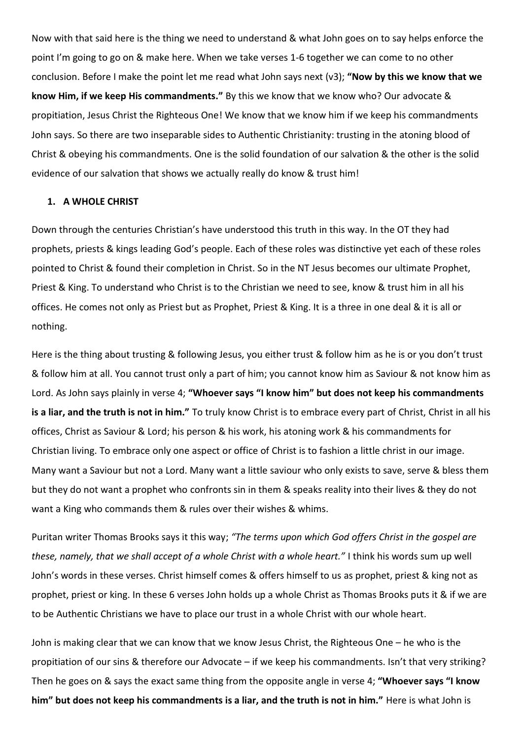Now with that said here is the thing we need to understand & what John goes on to say helps enforce the point I'm going to go on & make here. When we take verses 1-6 together we can come to no other conclusion. Before I make the point let me read what John says next (v3); **"Now by this we know that we know Him, if we keep His commandments."** By this we know that we know who? Our advocate & propitiation, Jesus Christ the Righteous One! We know that we know him if we keep his commandments John says. So there are two inseparable sides to Authentic Christianity: trusting in the atoning blood of Christ & obeying his commandments. One is the solid foundation of our salvation & the other is the solid evidence of our salvation that shows we actually really do know & trust him!

## **1. A WHOLE CHRIST**

Down through the centuries Christian's have understood this truth in this way. In the OT they had prophets, priests & kings leading God's people. Each of these roles was distinctive yet each of these roles pointed to Christ & found their completion in Christ. So in the NT Jesus becomes our ultimate Prophet, Priest & King. To understand who Christ is to the Christian we need to see, know & trust him in all his offices. He comes not only as Priest but as Prophet, Priest & King. It is a three in one deal & it is all or nothing.

Here is the thing about trusting & following Jesus, you either trust & follow him as he is or you don't trust & follow him at all. You cannot trust only a part of him; you cannot know him as Saviour & not know him as Lord. As John says plainly in verse 4; **"Whoever says "I know him" but does not keep his commandments is a liar, and the truth is not in him."** To truly know Christ is to embrace every part of Christ, Christ in all his offices, Christ as Saviour & Lord; his person & his work, his atoning work & his commandments for Christian living. To embrace only one aspect or office of Christ is to fashion a little christ in our image. Many want a Saviour but not a Lord. Many want a little saviour who only exists to save, serve & bless them but they do not want a prophet who confronts sin in them & speaks reality into their lives & they do not want a King who commands them & rules over their wishes & whims.

Puritan writer Thomas Brooks says it this way; *"The terms upon which God offers Christ in the gospel are these, namely, that we shall accept of a whole Christ with a whole heart."* I think his words sum up well John's words in these verses. Christ himself comes & offers himself to us as prophet, priest & king not as prophet, priest or king. In these 6 verses John holds up a whole Christ as Thomas Brooks puts it & if we are to be Authentic Christians we have to place our trust in a whole Christ with our whole heart.

John is making clear that we can know that we know Jesus Christ, the Righteous One – he who is the propitiation of our sins & therefore our Advocate – if we keep his commandments. Isn't that very striking? Then he goes on & says the exact same thing from the opposite angle in verse 4; **"Whoever says "I know him" but does not keep his commandments is a liar, and the truth is not in him."** Here is what John is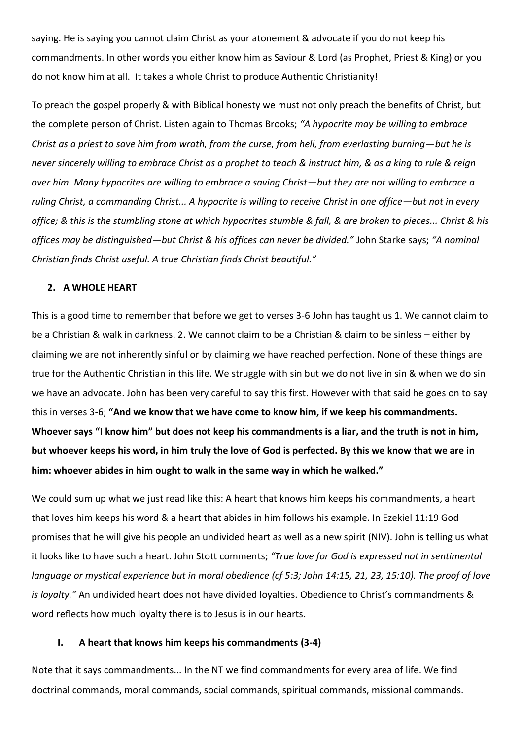saying. He is saying you cannot claim Christ as your atonement & advocate if you do not keep his commandments. In other words you either know him as Saviour & Lord (as Prophet, Priest & King) or you do not know him at all. It takes a whole Christ to produce Authentic Christianity!

To preach the gospel properly & with Biblical honesty we must not only preach the benefits of Christ, but the complete person of Christ. Listen again to Thomas Brooks; *"A hypocrite may be willing to embrace Christ as a priest to save him from wrath, from the curse, from hell, from everlasting burning—but he is never sincerely willing to embrace Christ as a prophet to teach & instruct him, & as a king to rule & reign over him. Many hypocrites are willing to embrace a saving Christ—but they are not willing to embrace a ruling Christ, a commanding Christ... A hypocrite is willing to receive Christ in one office—but not in every office; & this is the stumbling stone at which hypocrites stumble & fall, & are broken to pieces... Christ & his offices may be distinguished—but Christ & his offices can never be divided."* John Starke says; *"A nominal Christian finds Christ useful. A true Christian finds Christ beautiful."*

### **2. A WHOLE HEART**

This is a good time to remember that before we get to verses 3-6 John has taught us 1. We cannot claim to be a Christian & walk in darkness. 2. We cannot claim to be a Christian & claim to be sinless – either by claiming we are not inherently sinful or by claiming we have reached perfection. None of these things are true for the Authentic Christian in this life. We struggle with sin but we do not live in sin & when we do sin we have an advocate. John has been very careful to say this first. However with that said he goes on to say this in verses 3-6; **"And we know that we have come to know him, if we keep his commandments. Whoever says "I know him" but does not keep his commandments is a liar, and the truth is not in him, but whoever keeps his word, in him truly the love of God is perfected. By this we know that we are in him: whoever abides in him ought to walk in the same way in which he walked."**

We could sum up what we just read like this: A heart that knows him keeps his commandments, a heart that loves him keeps his word & a heart that abides in him follows his example. In Ezekiel 11:19 God promises that he will give his people an undivided heart as well as a new spirit (NIV). John is telling us what it looks like to have such a heart. John Stott comments; *"True love for God is expressed not in sentimental language or mystical experience but in moral obedience (cf 5:3; John 14:15, 21, 23, 15:10). The proof of love is loyalty."* An undivided heart does not have divided loyalties. Obedience to Christ's commandments & word reflects how much loyalty there is to Jesus is in our hearts.

### **I. A heart that knows him keeps his commandments (3-4)**

Note that it says commandments... In the NT we find commandments for every area of life. We find doctrinal commands, moral commands, social commands, spiritual commands, missional commands.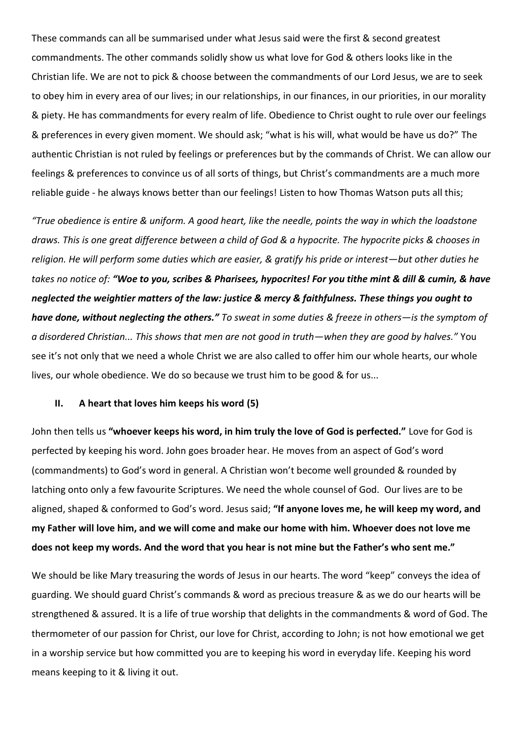These commands can all be summarised under what Jesus said were the first & second greatest commandments. The other commands solidly show us what love for God & others looks like in the Christian life. We are not to pick & choose between the commandments of our Lord Jesus, we are to seek to obey him in every area of our lives; in our relationships, in our finances, in our priorities, in our morality & piety. He has commandments for every realm of life. Obedience to Christ ought to rule over our feelings & preferences in every given moment. We should ask; "what is his will, what would be have us do?" The authentic Christian is not ruled by feelings or preferences but by the commands of Christ. We can allow our feelings & preferences to convince us of all sorts of things, but Christ's commandments are a much more reliable guide - he always knows better than our feelings! Listen to how Thomas Watson puts all this;

*"True obedience is entire & uniform. A good heart, like the needle, points the way in which the loadstone draws. This is one great difference between a child of God & a hypocrite. The hypocrite picks & chooses in religion. He will perform some duties which are easier, & gratify his pride or interest—but other duties he takes no notice of: "Woe to you, scribes & Pharisees, hypocrites! For you tithe mint & dill & cumin, & have neglected the weightier matters of the law: justice & mercy & faithfulness. These things you ought to have done, without neglecting the others." To sweat in some duties & freeze in others—is the symptom of a disordered Christian... This shows that men are not good in truth—when they are good by halves."* You see it's not only that we need a whole Christ we are also called to offer him our whole hearts, our whole lives, our whole obedience. We do so because we trust him to be good & for us...

## **II. A heart that loves him keeps his word (5)**

John then tells us **"whoever keeps his word, in him truly the love of God is perfected."** Love for God is perfected by keeping his word. John goes broader hear. He moves from an aspect of God's word (commandments) to God's word in general. A Christian won't become well grounded & rounded by latching onto only a few favourite Scriptures. We need the whole counsel of God. Our lives are to be aligned, shaped & conformed to God's word. Jesus said; **"If anyone loves me, he will keep my word, and my Father will love him, and we will come and make our home with him. Whoever does not love me does not keep my words. And the word that you hear is not mine but the Father's who sent me."**

We should be like Mary treasuring the words of Jesus in our hearts. The word "keep" conveys the idea of guarding. We should guard Christ's commands & word as precious treasure & as we do our hearts will be strengthened & assured. It is a life of true worship that delights in the commandments & word of God. The thermometer of our passion for Christ, our love for Christ, according to John; is not how emotional we get in a worship service but how committed you are to keeping his word in everyday life. Keeping his word means keeping to it & living it out.